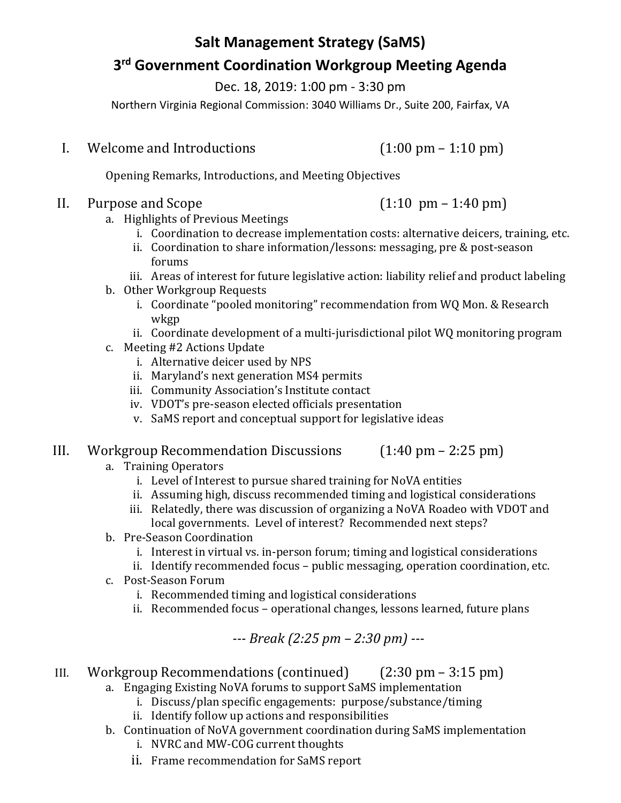# **Salt Management Strategy (SaMS) 3 rd Government Coordination Workgroup Meeting Agenda**

Dec. 18, 2019: 1:00 pm - 3:30 pm

Northern Virginia Regional Commission: 3040 Williams Dr., Suite 200, Fairfax, VA

I. Welcome and Introductions (1:00 pm – 1:10 pm)

Opening Remarks, Introductions, and Meeting Objectives

## II. Purpose and Scope  $(1:10 \text{ pm} - 1:40 \text{ pm})$

- a. Highlights of Previous Meetings
	- i. Coordination to decrease implementation costs: alternative deicers, training, etc.
	- ii. Coordination to share information/lessons: messaging, pre & post-season forums
	- iii. Areas of interest for future legislative action: liability relief and product labeling
- b. Other Workgroup Requests
	- i. Coordinate "pooled monitoring" recommendation from WQ Mon. & Research wkgp
- ii. Coordinate development of a multi-jurisdictional pilot WQ monitoring program
- c. Meeting #2 Actions Update
	- i. Alternative deicer used by NPS
	- ii. Maryland's next generation MS4 permits
	- iii. Community Association's Institute contact
	- iv. VDOT's pre-season elected officials presentation
	- v. SaMS report and conceptual support for legislative ideas

# III. Workgroup Recommendation Discussions (1:40 pm – 2:25 pm)

- a. Training Operators
	- i. Level of Interest to pursue shared training for NoVA entities
	- ii. Assuming high, discuss recommended timing and logistical considerations
	- iii. Relatedly, there was discussion of organizing a NoVA Roadeo with VDOT and local governments. Level of interest? Recommended next steps?
- b. Pre-Season Coordination
	- i. Interest in virtual vs. in-person forum; timing and logistical considerations
	- ii. Identify recommended focus public messaging, operation coordination, etc.
- c. Post-Season Forum
	- i. Recommended timing and logistical considerations
	- ii. Recommended focus operational changes, lessons learned, future plans

# *--- Break (2:25 pm – 2:30 pm) ---*

- III. Workgroup Recommendations (continued) (2:30 pm 3:15 pm)
	- a. Engaging Existing NoVA forums to support SaMS implementation
		- i. Discuss/plan specific engagements: purpose/substance/timing
		- ii. Identify follow up actions and responsibilities
	- b. Continuation of NoVA government coordination during SaMS implementation
		- i. NVRC and MW-COG current thoughts
		- ii. Frame recommendation for SaMS report